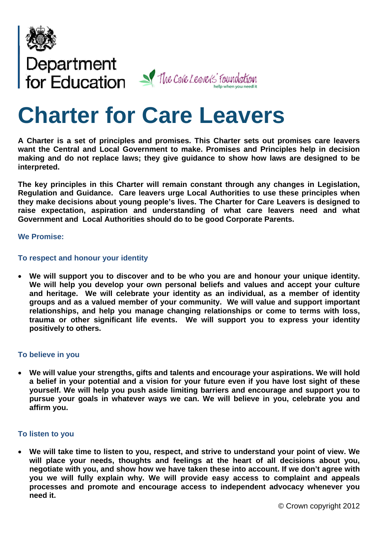

# Department<br>for Education V The Cale Leavels' foundation

# **Charter for Care Leavers**

**A Charter is a set of principles and promises. This Charter sets out promises care leavers want the Central and Local Government to make. Promises and Principles help in decision making and do not replace laws; they give guidance to show how laws are designed to be interpreted.** 

**The key principles in this Charter will remain constant through any changes in Legislation, Regulation and Guidance. Care leavers urge Local Authorities to use these principles when they make decisions about young people's lives. The Charter for Care Leavers is designed to raise expectation, aspiration and understanding of what care leavers need and what Government and Local Authorities should do to be good Corporate Parents.** 

#### **We Promise:**

# **To respect and honour your identity**

 **We will support you to discover and to be who you are and honour your unique identity. We will help you develop your own personal beliefs and values and accept your culture and heritage. We will celebrate your identity as an individual, as a member of identity groups and as a valued member of your community. We will value and support important relationships, and help you manage changing relationships or come to terms with loss, trauma or other significant life events. We will support you to express your identity positively to others.** 

#### **To believe in you**

 **We will value your strengths, gifts and talents and encourage your aspirations. We will hold a belief in your potential and a vision for your future even if you have lost sight of these yourself. We will help you push aside limiting barriers and encourage and support you to pursue your goals in whatever ways we can. We will believe in you, celebrate you and affirm you.** 

#### **To listen to you**

 **We will take time to listen to you, respect, and strive to understand your point of view. We will place your needs, thoughts and feelings at the heart of all decisions about you, negotiate with you, and show how we have taken these into account. If we don't agree with you we will fully explain why. We will provide easy access to complaint and appeals processes and promote and encourage access to independent advocacy whenever you need it.**